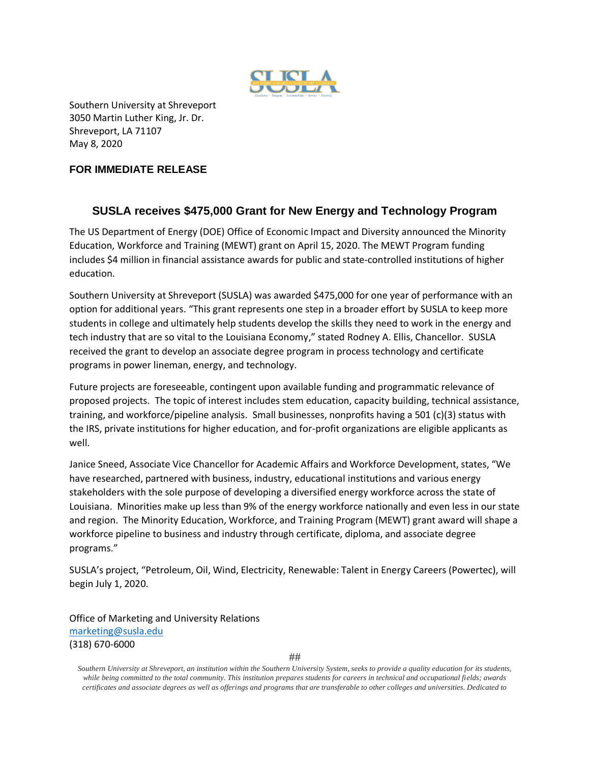

Southern University at Shreveport 3050 Martin Luther King, Jr. Dr. Shreveport, LA 71107 May 8, 2020

## **FOR IMMEDIATE RELEASE**

## **SUSLA receives \$475,000 Grant for New Energy and Technology Program**

The US Department of Energy (DOE) Office of Economic Impact and Diversity announced the Minority Education, Workforce and Training (MEWT) grant on April 15, 2020. The MEWT Program funding includes \$4 million in financial assistance awards for public and state-controlled institutions of higher education.

Southern University at Shreveport (SUSLA) was awarded \$475,000 for one year of performance with an option for additional years. "This grant represents one step in a broader effort by SUSLA to keep more students in college and ultimately help students develop the skills they need to work in the energy and tech industry that are so vital to the Louisiana Economy," stated Rodney A. Ellis, Chancellor. SUSLA received the grant to develop an associate degree program in process technology and certificate programs in power lineman, energy, and technology.

Future projects are foreseeable, contingent upon available funding and programmatic relevance of proposed projects. The topic of interest includes stem education, capacity building, technical assistance, training, and workforce/pipeline analysis. Small businesses, nonprofits having a 501 (c)(3) status with the IRS, private institutions for higher education, and for-profit organizations are eligible applicants as well.

Janice Sneed, Associate Vice Chancellor for Academic Affairs and Workforce Development, states, "We have researched, partnered with business, industry, educational institutions and various energy stakeholders with the sole purpose of developing a diversified energy workforce across the state of Louisiana. Minorities make up less than 9% of the energy workforce nationally and even less in our state and region. The Minority Education, Workforce, and Training Program (MEWT) grant award will shape a workforce pipeline to business and industry through certificate, diploma, and associate degree programs."

SUSLA's project, "Petroleum, Oil, Wind, Electricity, Renewable: Talent in Energy Careers (Powertec), will begin July 1, 2020.

Office of Marketing and University Relations [marketing@susla.edu](mailto:marketing@susla.edu) (318) 670-6000

*Southern University at Shreveport, an institution within the Southern University System, seeks to provide a quality education for its students, while being committed to the total community. This institution prepares students for careers in technical and occupational fields; awards certificates and associate degrees as well as offerings and programs that are transferable to other colleges and universities. Dedicated to*